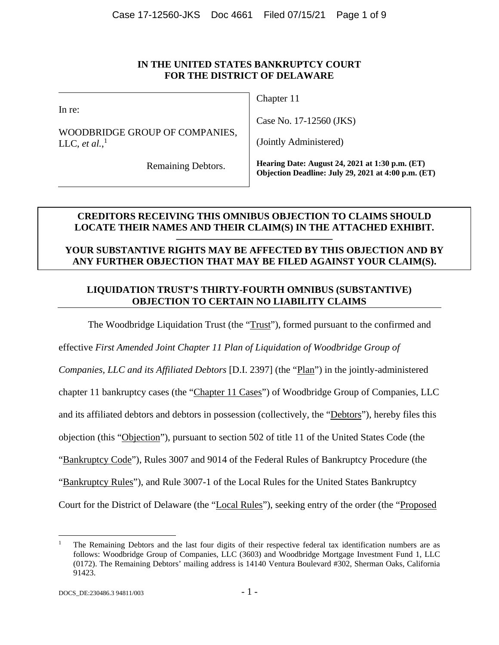In re:

WOODBRIDGE GROUP OF COMPANIES, LLC, *et al.*,<sup>1</sup>

Chapter 11

Case No. 17-12560 (JKS)

(Jointly Administered)

Remaining Debtors.

**Hearing Date: August 24, 2021 at 1:30 p.m. (ET) Objection Deadline: July 29, 2021 at 4:00 p.m. (ET)**

# **CREDITORS RECEIVING THIS OMNIBUS OBJECTION TO CLAIMS SHOULD LOCATE THEIR NAMES AND THEIR CLAIM(S) IN THE ATTACHED EXHIBIT.**

# **YOUR SUBSTANTIVE RIGHTS MAY BE AFFECTED BY THIS OBJECTION AND BY ANY FURTHER OBJECTION THAT MAY BE FILED AGAINST YOUR CLAIM(S).**

**————————————————** 

# **LIQUIDATION TRUST'S THIRTY-FOURTH OMNIBUS (SUBSTANTIVE) OBJECTION TO CERTAIN NO LIABILITY CLAIMS**

The Woodbridge Liquidation Trust (the "Trust"), formed pursuant to the confirmed and

effective *First Amended Joint Chapter 11 Plan of Liquidation of Woodbridge Group of* 

*Companies, LLC and its Affiliated Debtors* [D.I. 2397] (the "Plan") in the jointly-administered

chapter 11 bankruptcy cases (the "Chapter 11 Cases") of Woodbridge Group of Companies, LLC

and its affiliated debtors and debtors in possession (collectively, the "Debtors"), hereby files this

objection (this "Objection"), pursuant to section 502 of title 11 of the United States Code (the

"Bankruptcy Code"), Rules 3007 and 9014 of the Federal Rules of Bankruptcy Procedure (the

"Bankruptcy Rules"), and Rule 3007-1 of the Local Rules for the United States Bankruptcy

Court for the District of Delaware (the "Local Rules"), seeking entry of the order (the "Proposed

<sup>1</sup> The Remaining Debtors and the last four digits of their respective federal tax identification numbers are as follows: Woodbridge Group of Companies, LLC (3603) and Woodbridge Mortgage Investment Fund 1, LLC (0172). The Remaining Debtors' mailing address is 14140 Ventura Boulevard #302, Sherman Oaks, California 91423.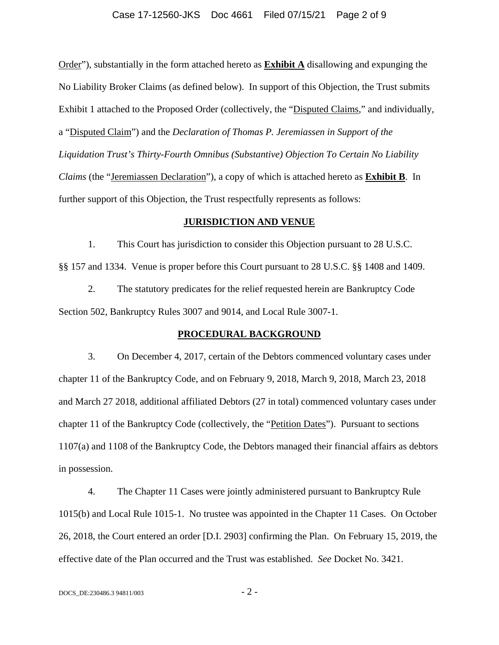### Case 17-12560-JKS Doc 4661 Filed 07/15/21 Page 2 of 9

Order"), substantially in the form attached hereto as **Exhibit A** disallowing and expunging the No Liability Broker Claims (as defined below). In support of this Objection, the Trust submits Exhibit 1 attached to the Proposed Order (collectively, the "Disputed Claims," and individually, a "Disputed Claim") and the *Declaration of Thomas P. Jeremiassen in Support of the Liquidation Trust's Thirty-Fourth Omnibus (Substantive) Objection To Certain No Liability Claims* (the "Jeremiassen Declaration"), a copy of which is attached hereto as **Exhibit B**. In further support of this Objection, the Trust respectfully represents as follows:

#### **JURISDICTION AND VENUE**

1. This Court has jurisdiction to consider this Objection pursuant to 28 U.S.C. §§ 157 and 1334. Venue is proper before this Court pursuant to 28 U.S.C. §§ 1408 and 1409.

2. The statutory predicates for the relief requested herein are Bankruptcy Code Section 502, Bankruptcy Rules 3007 and 9014, and Local Rule 3007-1.

#### **PROCEDURAL BACKGROUND**

3. On December 4, 2017, certain of the Debtors commenced voluntary cases under chapter 11 of the Bankruptcy Code, and on February 9, 2018, March 9, 2018, March 23, 2018 and March 27 2018, additional affiliated Debtors (27 in total) commenced voluntary cases under chapter 11 of the Bankruptcy Code (collectively, the "Petition Dates"). Pursuant to sections 1107(a) and 1108 of the Bankruptcy Code, the Debtors managed their financial affairs as debtors in possession.

4. The Chapter 11 Cases were jointly administered pursuant to Bankruptcy Rule 1015(b) and Local Rule 1015-1. No trustee was appointed in the Chapter 11 Cases. On October 26, 2018, the Court entered an order [D.I. 2903] confirming the Plan. On February 15, 2019, the effective date of the Plan occurred and the Trust was established. *See* Docket No. 3421.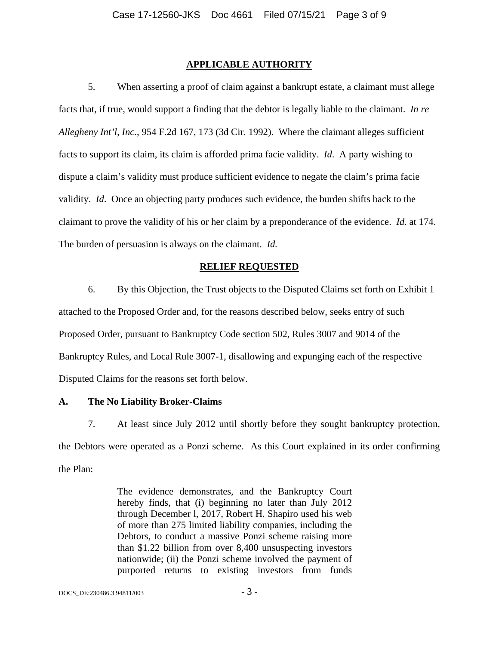## **APPLICABLE AUTHORITY**

5. When asserting a proof of claim against a bankrupt estate, a claimant must allege facts that, if true, would support a finding that the debtor is legally liable to the claimant. *In re Allegheny Int'l, Inc.*, 954 F.2d 167, 173 (3d Cir. 1992). Where the claimant alleges sufficient facts to support its claim, its claim is afforded prima facie validity. *Id*. A party wishing to dispute a claim's validity must produce sufficient evidence to negate the claim's prima facie validity. *Id*. Once an objecting party produces such evidence, the burden shifts back to the claimant to prove the validity of his or her claim by a preponderance of the evidence. *Id*. at 174. The burden of persuasion is always on the claimant. *Id.*

#### **RELIEF REQUESTED**

6. By this Objection, the Trust objects to the Disputed Claims set forth on Exhibit 1 attached to the Proposed Order and, for the reasons described below, seeks entry of such Proposed Order, pursuant to Bankruptcy Code section 502, Rules 3007 and 9014 of the Bankruptcy Rules, and Local Rule 3007-1, disallowing and expunging each of the respective Disputed Claims for the reasons set forth below.

#### **A. The No Liability Broker-Claims**

7. At least since July 2012 until shortly before they sought bankruptcy protection, the Debtors were operated as a Ponzi scheme. As this Court explained in its order confirming the Plan:

> The evidence demonstrates, and the Bankruptcy Court hereby finds, that (i) beginning no later than July 2012 through December l, 2017, Robert H. Shapiro used his web of more than 275 limited liability companies, including the Debtors, to conduct a massive Ponzi scheme raising more than \$1.22 billion from over 8,400 unsuspecting investors nationwide; (ii) the Ponzi scheme involved the payment of purported returns to existing investors from funds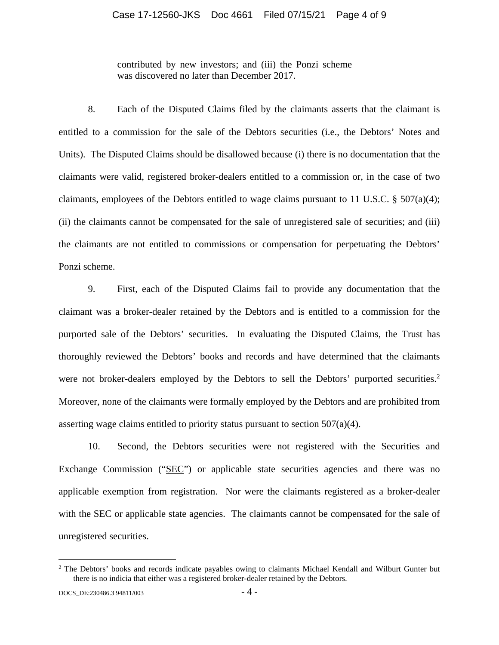contributed by new investors; and (iii) the Ponzi scheme was discovered no later than December 2017.

8. Each of the Disputed Claims filed by the claimants asserts that the claimant is entitled to a commission for the sale of the Debtors securities (i.e., the Debtors' Notes and Units). The Disputed Claims should be disallowed because (i) there is no documentation that the claimants were valid, registered broker-dealers entitled to a commission or, in the case of two claimants, employees of the Debtors entitled to wage claims pursuant to 11 U.S.C. § 507(a)(4); (ii) the claimants cannot be compensated for the sale of unregistered sale of securities; and (iii) the claimants are not entitled to commissions or compensation for perpetuating the Debtors' Ponzi scheme.

9. First, each of the Disputed Claims fail to provide any documentation that the claimant was a broker-dealer retained by the Debtors and is entitled to a commission for the purported sale of the Debtors' securities. In evaluating the Disputed Claims, the Trust has thoroughly reviewed the Debtors' books and records and have determined that the claimants were not broker-dealers employed by the Debtors to sell the Debtors' purported securities.<sup>2</sup> Moreover, none of the claimants were formally employed by the Debtors and are prohibited from asserting wage claims entitled to priority status pursuant to section  $507(a)(4)$ .

10. Second, the Debtors securities were not registered with the Securities and Exchange Commission ("SEC") or applicable state securities agencies and there was no applicable exemption from registration. Nor were the claimants registered as a broker-dealer with the SEC or applicable state agencies. The claimants cannot be compensated for the sale of unregistered securities.

<sup>&</sup>lt;sup>2</sup> The Debtors' books and records indicate payables owing to claimants Michael Kendall and Wilburt Gunter but there is no indicia that either was a registered broker-dealer retained by the Debtors.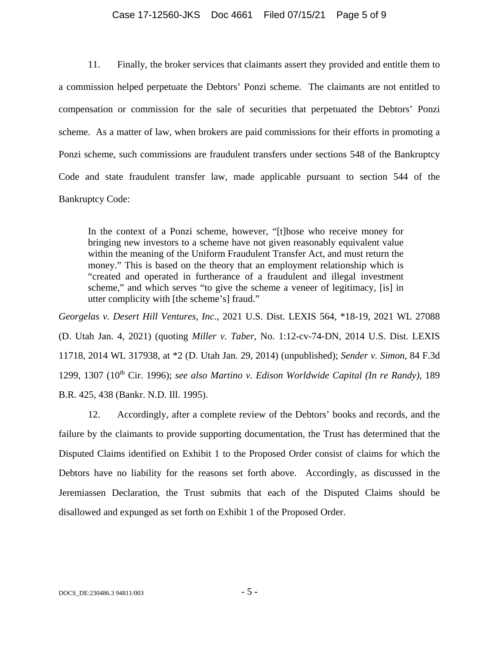### Case 17-12560-JKS Doc 4661 Filed 07/15/21 Page 5 of 9

11. Finally, the broker services that claimants assert they provided and entitle them to a commission helped perpetuate the Debtors' Ponzi scheme. The claimants are not entitled to compensation or commission for the sale of securities that perpetuated the Debtors' Ponzi scheme. As a matter of law, when brokers are paid commissions for their efforts in promoting a Ponzi scheme, such commissions are fraudulent transfers under sections 548 of the Bankruptcy Code and state fraudulent transfer law, made applicable pursuant to section 544 of the Bankruptcy Code:

In the context of a Ponzi scheme, however, "[t]hose who receive money for bringing new investors to a scheme have not given reasonably equivalent value within the meaning of the Uniform Fraudulent Transfer Act, and must return the money." This is based on the theory that an employment relationship which is "created and operated in furtherance of a fraudulent and illegal investment scheme," and which serves "to give the scheme a veneer of legitimacy, [is] in utter complicity with [the scheme's] fraud."

*Georgelas v. Desert Hill Ventures, Inc*., 2021 U.S. Dist. LEXIS 564, \*18-19, 2021 WL 27088 (D. Utah Jan. 4, 2021) (quoting *Miller v. Taber*, No. 1:12-cv-74-DN, 2014 U.S. Dist. LEXIS 11718, 2014 WL 317938, at \*2 (D. Utah Jan. 29, 2014) (unpublished); *Sender v. Simon*, 84 F.3d 1299, 1307 (10<sup>th</sup> Cir. 1996); see also Martino v. Edison Worldwide Capital (In re Randy), 189 B.R. 425, 438 (Bankr. N.D. Ill. 1995).

12. Accordingly, after a complete review of the Debtors' books and records, and the failure by the claimants to provide supporting documentation, the Trust has determined that the Disputed Claims identified on Exhibit 1 to the Proposed Order consist of claims for which the Debtors have no liability for the reasons set forth above. Accordingly, as discussed in the Jeremiassen Declaration, the Trust submits that each of the Disputed Claims should be disallowed and expunged as set forth on Exhibit 1 of the Proposed Order.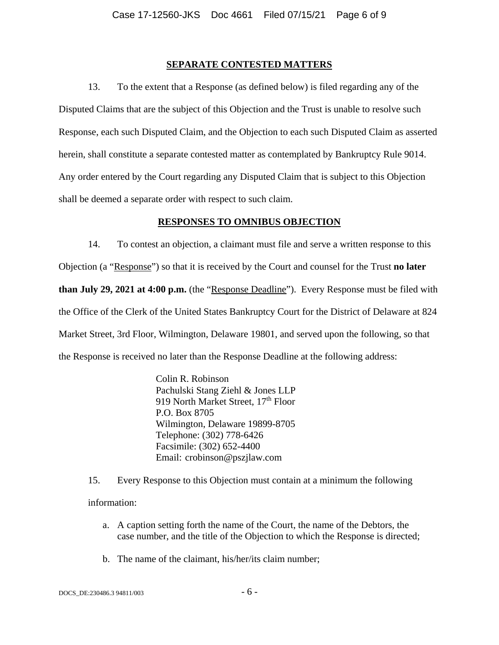## **SEPARATE CONTESTED MATTERS**

13. To the extent that a Response (as defined below) is filed regarding any of the Disputed Claims that are the subject of this Objection and the Trust is unable to resolve such Response, each such Disputed Claim, and the Objection to each such Disputed Claim as asserted herein, shall constitute a separate contested matter as contemplated by Bankruptcy Rule 9014. Any order entered by the Court regarding any Disputed Claim that is subject to this Objection shall be deemed a separate order with respect to such claim.

## **RESPONSES TO OMNIBUS OBJECTION**

14. To contest an objection, a claimant must file and serve a written response to this Objection (a "Response") so that it is received by the Court and counsel for the Trust **no later than July 29, 2021 at 4:00 p.m.** (the "Response Deadline"). Every Response must be filed with the Office of the Clerk of the United States Bankruptcy Court for the District of Delaware at 824 Market Street, 3rd Floor, Wilmington, Delaware 19801, and served upon the following, so that the Response is received no later than the Response Deadline at the following address:

> Colin R. Robinson Pachulski Stang Ziehl & Jones LLP 919 North Market Street, 17<sup>th</sup> Floor P.O. Box 8705 Wilmington, Delaware 19899-8705 Telephone: (302) 778-6426 Facsimile: (302) 652-4400 Email: crobinson@pszjlaw.com

15. Every Response to this Objection must contain at a minimum the following

information:

- a. A caption setting forth the name of the Court, the name of the Debtors, the case number, and the title of the Objection to which the Response is directed;
- b. The name of the claimant, his/her/its claim number;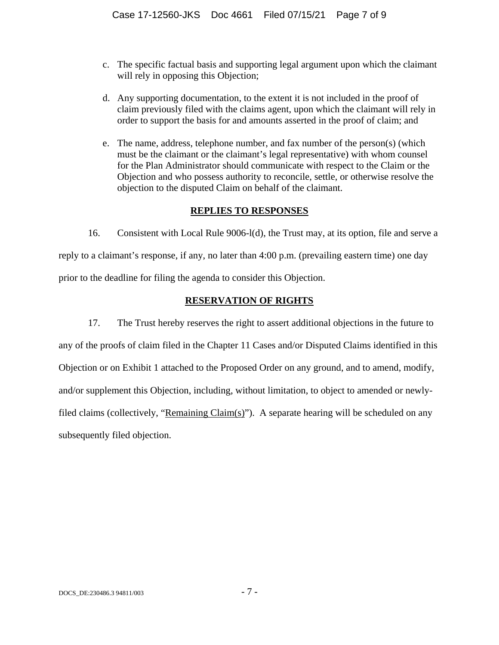- c. The specific factual basis and supporting legal argument upon which the claimant will rely in opposing this Objection;
- d. Any supporting documentation, to the extent it is not included in the proof of claim previously filed with the claims agent, upon which the claimant will rely in order to support the basis for and amounts asserted in the proof of claim; and
- e. The name, address, telephone number, and fax number of the person(s) (which must be the claimant or the claimant's legal representative) with whom counsel for the Plan Administrator should communicate with respect to the Claim or the Objection and who possess authority to reconcile, settle, or otherwise resolve the objection to the disputed Claim on behalf of the claimant.

# **REPLIES TO RESPONSES**

16. Consistent with Local Rule 9006-l(d), the Trust may, at its option, file and serve a reply to a claimant's response, if any, no later than 4:00 p.m. (prevailing eastern time) one day prior to the deadline for filing the agenda to consider this Objection.

# **RESERVATION OF RIGHTS**

17. The Trust hereby reserves the right to assert additional objections in the future to any of the proofs of claim filed in the Chapter 11 Cases and/or Disputed Claims identified in this Objection or on Exhibit 1 attached to the Proposed Order on any ground, and to amend, modify, and/or supplement this Objection, including, without limitation, to object to amended or newlyfiled claims (collectively, "Remaining Claim(s)"). A separate hearing will be scheduled on any subsequently filed objection.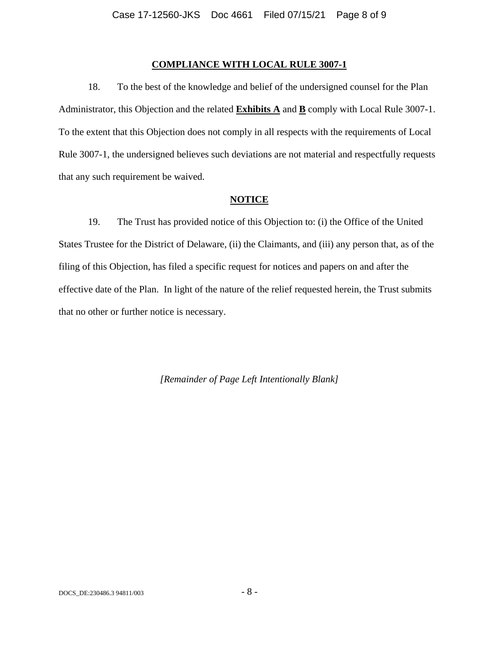### **COMPLIANCE WITH LOCAL RULE 3007-1**

18. To the best of the knowledge and belief of the undersigned counsel for the Plan Administrator, this Objection and the related **Exhibits A** and **B** comply with Local Rule 3007-1. To the extent that this Objection does not comply in all respects with the requirements of Local Rule 3007-1, the undersigned believes such deviations are not material and respectfully requests that any such requirement be waived.

### **NOTICE**

19. The Trust has provided notice of this Objection to: (i) the Office of the United States Trustee for the District of Delaware, (ii) the Claimants, and (iii) any person that, as of the filing of this Objection, has filed a specific request for notices and papers on and after the effective date of the Plan. In light of the nature of the relief requested herein, the Trust submits that no other or further notice is necessary.

*[Remainder of Page Left Intentionally Blank]*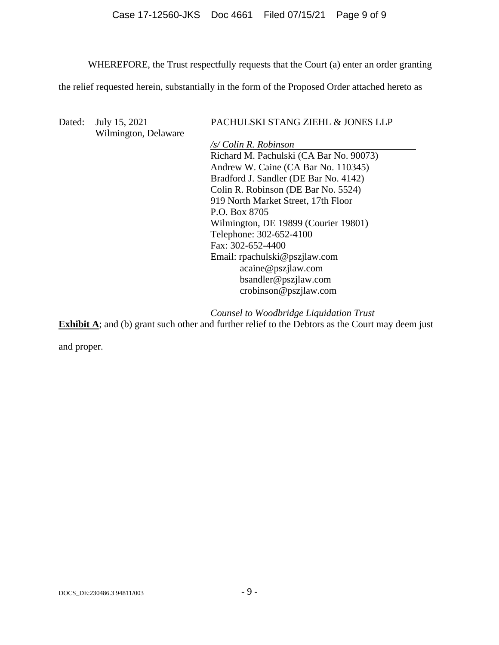# Case 17-12560-JKS Doc 4661 Filed 07/15/21 Page 9 of 9

WHEREFORE, the Trust respectfully requests that the Court (a) enter an order granting

the relief requested herein, substantially in the form of the Proposed Order attached hereto as

| Dated: | July 15, 2021<br>Wilmington, Delaware | PACHULSKI STANG ZIEHL & JONES LLP       |  |  |
|--------|---------------------------------------|-----------------------------------------|--|--|
|        |                                       | /s/ Colin R. Robinson                   |  |  |
|        |                                       | Richard M. Pachulski (CA Bar No. 90073) |  |  |
|        |                                       | Andrew W. Caine (CA Bar No. 110345)     |  |  |
|        |                                       | Bradford J. Sandler (DE Bar No. 4142)   |  |  |
|        |                                       | Colin R. Robinson (DE Bar No. 5524)     |  |  |
|        |                                       | 919 North Market Street, 17th Floor     |  |  |
|        |                                       | P.O. Box 8705                           |  |  |
|        |                                       | Wilmington, DE 19899 (Courier 19801)    |  |  |
|        |                                       | Telephone: 302-652-4100                 |  |  |
|        |                                       | Fax: 302-652-4400                       |  |  |
|        |                                       | Email: rpachulski@pszjlaw.com           |  |  |
|        |                                       | acaine@pszilaw.com                      |  |  |
|        |                                       | bsandler@pszjlaw.com                    |  |  |
|        |                                       | crobinson@pszilaw.com                   |  |  |

**Exhibit A**; and (b) grant such other and further relief to the Debtors as the Court may deem just *Counsel to Woodbridge Liquidation Trust* 

and proper.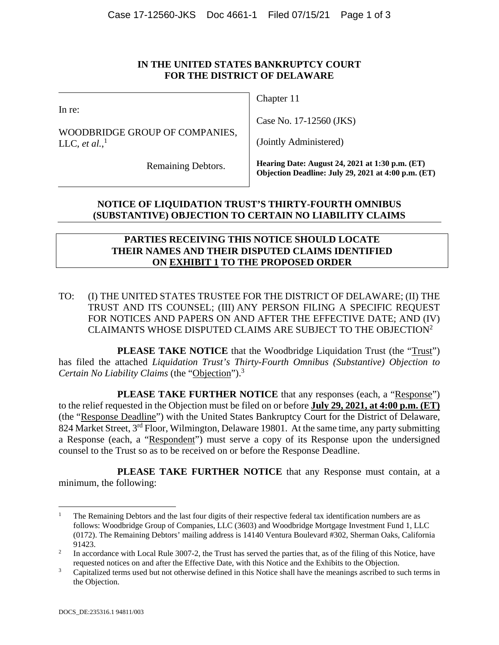In re:

WOODBRIDGE GROUP OF COMPANIES, LLC, *et al.*,<sup>1</sup>

Chapter 11

Case No. 17-12560 (JKS)

(Jointly Administered)

Remaining Debtors.

**Hearing Date: August 24, 2021 at 1:30 p.m. (ET) Objection Deadline: July 29, 2021 at 4:00 p.m. (ET)**

# **NOTICE OF LIQUIDATION TRUST'S THIRTY-FOURTH OMNIBUS (SUBSTANTIVE) OBJECTION TO CERTAIN NO LIABILITY CLAIMS**

## **PARTIES RECEIVING THIS NOTICE SHOULD LOCATE THEIR NAMES AND THEIR DISPUTED CLAIMS IDENTIFIED ON EXHIBIT 1 TO THE PROPOSED ORDER**

TO: (I) THE UNITED STATES TRUSTEE FOR THE DISTRICT OF DELAWARE; (II) THE TRUST AND ITS COUNSEL; (III) ANY PERSON FILING A SPECIFIC REQUEST FOR NOTICES AND PAPERS ON AND AFTER THE EFFECTIVE DATE; AND (IV) CLAIMANTS WHOSE DISPUTED CLAIMS ARE SUBJECT TO THE OBJECTION2

**PLEASE TAKE NOTICE** that the Woodbridge Liquidation Trust (the "Trust") has filed the attached *Liquidation Trust's Thirty-Fourth Omnibus (Substantive) Objection to Certain No Liability Claims* (the "Objection").3

**PLEASE TAKE FURTHER NOTICE** that any responses (each, a "Response") to the relief requested in the Objection must be filed on or before **July 29, 2021, at 4:00 p.m. (ET)** (the "Response Deadline") with the United States Bankruptcy Court for the District of Delaware, 824 Market Street, 3<sup>rd</sup> Floor, Wilmington, Delaware 19801. At the same time, any party submitting a Response (each, a "Respondent") must serve a copy of its Response upon the undersigned counsel to the Trust so as to be received on or before the Response Deadline.

**PLEASE TAKE FURTHER NOTICE** that any Response must contain, at a minimum, the following:

<sup>1</sup> The Remaining Debtors and the last four digits of their respective federal tax identification numbers are as follows: Woodbridge Group of Companies, LLC (3603) and Woodbridge Mortgage Investment Fund 1, LLC (0172). The Remaining Debtors' mailing address is 14140 Ventura Boulevard #302, Sherman Oaks, California 91423.

In accordance with Local Rule 3007-2, the Trust has served the parties that, as of the filing of this Notice, have requested notices on and after the Effective Date, with this Notice and the Exhibits to the Objection.<br><sup>3</sup> Capitalized terms used but not otherwise defined in this Notice shall have the meanings ascribed to su

Capitalized terms used but not otherwise defined in this Notice shall have the meanings ascribed to such terms in the Objection.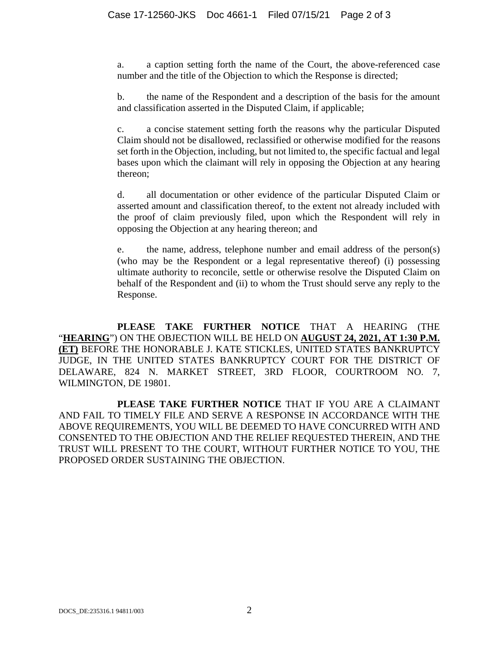a. a caption setting forth the name of the Court, the above-referenced case number and the title of the Objection to which the Response is directed;

b. the name of the Respondent and a description of the basis for the amount and classification asserted in the Disputed Claim, if applicable;

c. a concise statement setting forth the reasons why the particular Disputed Claim should not be disallowed, reclassified or otherwise modified for the reasons set forth in the Objection, including, but not limited to, the specific factual and legal bases upon which the claimant will rely in opposing the Objection at any hearing thereon;

d. all documentation or other evidence of the particular Disputed Claim or asserted amount and classification thereof, to the extent not already included with the proof of claim previously filed, upon which the Respondent will rely in opposing the Objection at any hearing thereon; and

e. the name, address, telephone number and email address of the person(s) (who may be the Respondent or a legal representative thereof) (i) possessing ultimate authority to reconcile, settle or otherwise resolve the Disputed Claim on behalf of the Respondent and (ii) to whom the Trust should serve any reply to the Response.

**PLEASE TAKE FURTHER NOTICE** THAT A HEARING (THE "**HEARING**") ON THE OBJECTION WILL BE HELD ON **AUGUST 24, 2021, AT 1:30 P.M. (ET)** BEFORE THE HONORABLE J. KATE STICKLES, UNITED STATES BANKRUPTCY JUDGE, IN THE UNITED STATES BANKRUPTCY COURT FOR THE DISTRICT OF DELAWARE, 824 N. MARKET STREET, 3RD FLOOR, COURTROOM NO. 7, WILMINGTON, DE 19801.

**PLEASE TAKE FURTHER NOTICE** THAT IF YOU ARE A CLAIMANT AND FAIL TO TIMELY FILE AND SERVE A RESPONSE IN ACCORDANCE WITH THE ABOVE REQUIREMENTS, YOU WILL BE DEEMED TO HAVE CONCURRED WITH AND CONSENTED TO THE OBJECTION AND THE RELIEF REQUESTED THEREIN, AND THE TRUST WILL PRESENT TO THE COURT, WITHOUT FURTHER NOTICE TO YOU, THE PROPOSED ORDER SUSTAINING THE OBJECTION.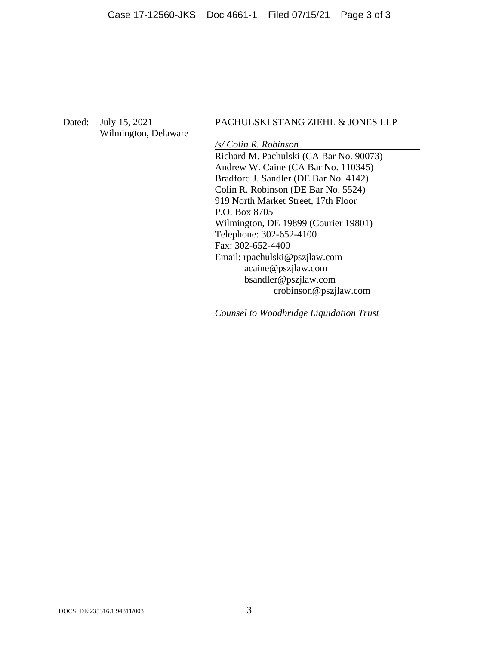Wilmington, Delaware

# Dated: July 15, 2021 PACHULSKI STANG ZIEHL & JONES LLP

*/s/ Colin R. Robinson*  Richard M. Pachulski (CA Bar No. 90073) Andrew W. Caine (CA Bar No. 110345) Bradford J. Sandler (DE Bar No. 4142) Colin R. Robinson (DE Bar No. 5524) 919 North Market Street, 17th Floor P.O. Box 8705 Wilmington, DE 19899 (Courier 19801) Telephone: 302-652-4100 Fax: 302-652-4400 Email: rpachulski@pszjlaw.com acaine@pszjlaw.com bsandler@pszjlaw.com crobinson@pszjlaw.com

*Counsel to Woodbridge Liquidation Trust*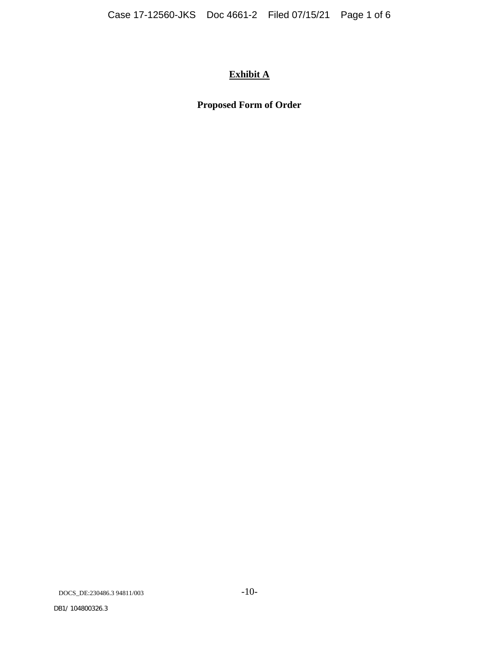# **Exhibit A**

# **Proposed Form of Order**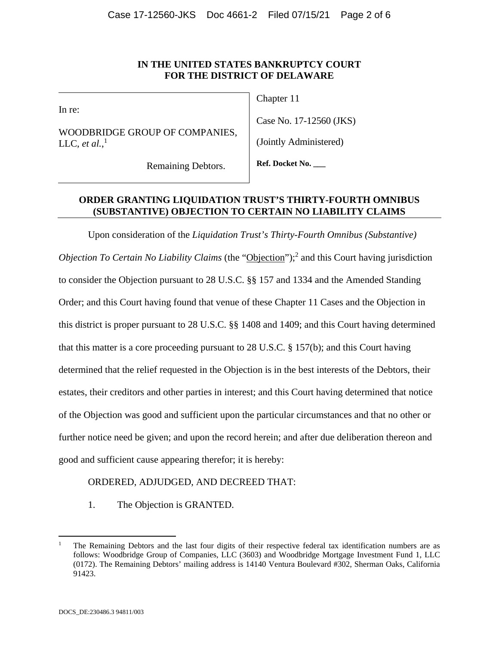In re:

WOODBRIDGE GROUP OF COMPANIES, LLC, *et al.*,<sup>1</sup>

Chapter 11

Case No. 17-12560 (JKS)

(Jointly Administered)

Remaining Debtors.

**Ref. Docket No. \_\_\_** 

# **ORDER GRANTING LIQUIDATION TRUST'S THIRTY-FOURTH OMNIBUS (SUBSTANTIVE) OBJECTION TO CERTAIN NO LIABILITY CLAIMS**

Upon consideration of the *Liquidation Trust's Thirty-Fourth Omnibus (Substantive)*  Objection To Certain No Liability Claims (the "Objection");<sup>2</sup> and this Court having jurisdiction to consider the Objection pursuant to 28 U.S.C. §§ 157 and 1334 and the Amended Standing Order; and this Court having found that venue of these Chapter 11 Cases and the Objection in this district is proper pursuant to 28 U.S.C. §§ 1408 and 1409; and this Court having determined that this matter is a core proceeding pursuant to 28 U.S.C. § 157(b); and this Court having determined that the relief requested in the Objection is in the best interests of the Debtors, their estates, their creditors and other parties in interest; and this Court having determined that notice of the Objection was good and sufficient upon the particular circumstances and that no other or further notice need be given; and upon the record herein; and after due deliberation thereon and good and sufficient cause appearing therefor; it is hereby:

# ORDERED, ADJUDGED, AND DECREED THAT:

1. The Objection is GRANTED.

1

<sup>1</sup> The Remaining Debtors and the last four digits of their respective federal tax identification numbers are as follows: Woodbridge Group of Companies, LLC (3603) and Woodbridge Mortgage Investment Fund 1, LLC (0172). The Remaining Debtors' mailing address is 14140 Ventura Boulevard #302, Sherman Oaks, California 91423.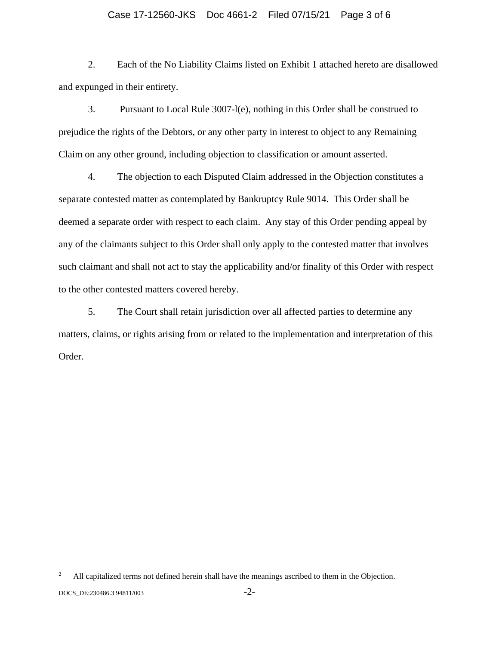## Case 17-12560-JKS Doc 4661-2 Filed 07/15/21 Page 3 of 6

2. Each of the No Liability Claims listed on Exhibit 1 attached hereto are disallowed and expunged in their entirety.

3. Pursuant to Local Rule 3007-l(e), nothing in this Order shall be construed to prejudice the rights of the Debtors, or any other party in interest to object to any Remaining Claim on any other ground, including objection to classification or amount asserted.

4. The objection to each Disputed Claim addressed in the Objection constitutes a separate contested matter as contemplated by Bankruptcy Rule 9014. This Order shall be deemed a separate order with respect to each claim. Any stay of this Order pending appeal by any of the claimants subject to this Order shall only apply to the contested matter that involves such claimant and shall not act to stay the applicability and/or finality of this Order with respect to the other contested matters covered hereby.

5. The Court shall retain jurisdiction over all affected parties to determine any matters, claims, or rights arising from or related to the implementation and interpretation of this Order.

 $\frac{1}{2}$ <sup>2</sup> All capitalized terms not defined herein shall have the meanings ascribed to them in the Objection.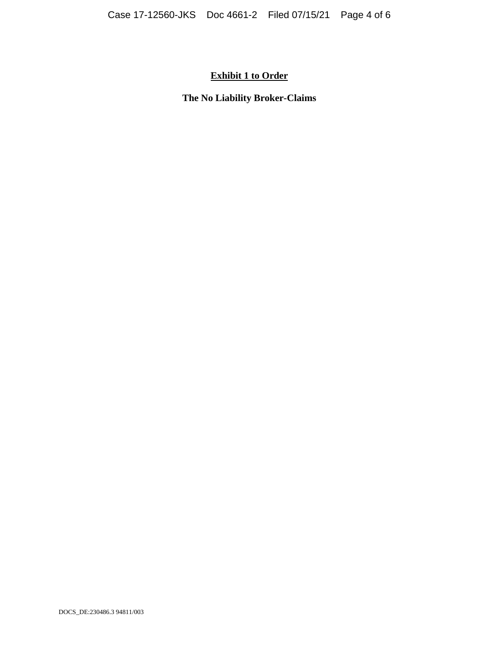# **Exhibit 1 to Order**

**The No Liability Broker-Claims**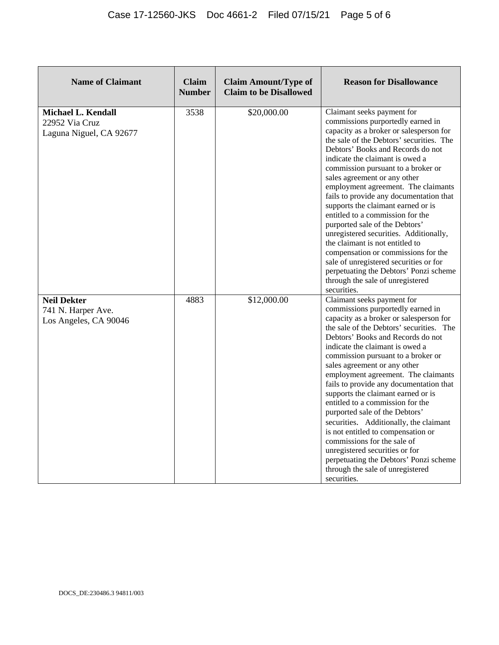| <b>Name of Claimant</b>                                                | <b>Claim</b><br><b>Number</b> | <b>Claim Amount/Type of</b><br><b>Claim to be Disallowed</b> | <b>Reason for Disallowance</b>                                                                                                                                                                                                                                                                                                                                                                                                                                                                                                                                                                                                                                                                                                                                |
|------------------------------------------------------------------------|-------------------------------|--------------------------------------------------------------|---------------------------------------------------------------------------------------------------------------------------------------------------------------------------------------------------------------------------------------------------------------------------------------------------------------------------------------------------------------------------------------------------------------------------------------------------------------------------------------------------------------------------------------------------------------------------------------------------------------------------------------------------------------------------------------------------------------------------------------------------------------|
| <b>Michael L. Kendall</b><br>22952 Via Cruz<br>Laguna Niguel, CA 92677 | 3538                          | \$20,000.00                                                  | Claimant seeks payment for<br>commissions purportedly earned in<br>capacity as a broker or salesperson for<br>the sale of the Debtors' securities. The<br>Debtors' Books and Records do not<br>indicate the claimant is owed a<br>commission pursuant to a broker or<br>sales agreement or any other<br>employment agreement. The claimants<br>fails to provide any documentation that<br>supports the claimant earned or is<br>entitled to a commission for the<br>purported sale of the Debtors'<br>unregistered securities. Additionally,<br>the claimant is not entitled to<br>compensation or commissions for the<br>sale of unregistered securities or for<br>perpetuating the Debtors' Ponzi scheme<br>through the sale of unregistered<br>securities. |
| <b>Neil Dekter</b><br>741 N. Harper Ave.<br>Los Angeles, CA 90046      | 4883                          | \$12,000.00                                                  | Claimant seeks payment for<br>commissions purportedly earned in<br>capacity as a broker or salesperson for<br>the sale of the Debtors' securities. The<br>Debtors' Books and Records do not<br>indicate the claimant is owed a<br>commission pursuant to a broker or<br>sales agreement or any other<br>employment agreement. The claimants<br>fails to provide any documentation that<br>supports the claimant earned or is<br>entitled to a commission for the<br>purported sale of the Debtors'<br>securities. Additionally, the claimant<br>is not entitled to compensation or<br>commissions for the sale of<br>unregistered securities or for<br>perpetuating the Debtors' Ponzi scheme<br>through the sale of unregistered<br>securities.              |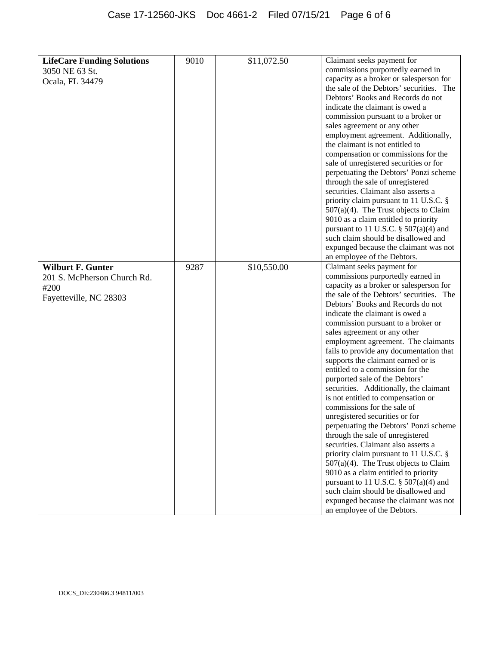| <b>LifeCare Funding Solutions</b> | 9010 | \$11,072.50 | Claimant seeks payment for               |
|-----------------------------------|------|-------------|------------------------------------------|
|                                   |      |             | commissions purportedly earned in        |
| 3050 NE 63 St.                    |      |             | capacity as a broker or salesperson for  |
| Ocala, FL 34479                   |      |             | the sale of the Debtors' securities. The |
|                                   |      |             | Debtors' Books and Records do not        |
|                                   |      |             |                                          |
|                                   |      |             | indicate the claimant is owed a          |
|                                   |      |             | commission pursuant to a broker or       |
|                                   |      |             | sales agreement or any other             |
|                                   |      |             | employment agreement. Additionally,      |
|                                   |      |             | the claimant is not entitled to          |
|                                   |      |             | compensation or commissions for the      |
|                                   |      |             | sale of unregistered securities or for   |
|                                   |      |             | perpetuating the Debtors' Ponzi scheme   |
|                                   |      |             | through the sale of unregistered         |
|                                   |      |             | securities. Claimant also asserts a      |
|                                   |      |             | priority claim pursuant to 11 U.S.C. §   |
|                                   |      |             | $507(a)(4)$ . The Trust objects to Claim |
|                                   |      |             | 9010 as a claim entitled to priority     |
|                                   |      |             | pursuant to 11 U.S.C. $\S$ 507(a)(4) and |
|                                   |      |             | such claim should be disallowed and      |
|                                   |      |             | expunged because the claimant was not    |
|                                   |      |             | an employee of the Debtors.              |
| <b>Wilburt F. Gunter</b>          | 9287 | \$10,550.00 | Claimant seeks payment for               |
| 201 S. McPherson Church Rd.       |      |             | commissions purportedly earned in        |
| #200                              |      |             | capacity as a broker or salesperson for  |
| Fayetteville, NC 28303            |      |             | the sale of the Debtors' securities. The |
|                                   |      |             | Debtors' Books and Records do not        |
|                                   |      |             | indicate the claimant is owed a          |
|                                   |      |             | commission pursuant to a broker or       |
|                                   |      |             | sales agreement or any other             |
|                                   |      |             | employment agreement. The claimants      |
|                                   |      |             | fails to provide any documentation that  |
|                                   |      |             | supports the claimant earned or is       |
|                                   |      |             | entitled to a commission for the         |
|                                   |      |             | purported sale of the Debtors'           |
|                                   |      |             | securities. Additionally, the claimant   |
|                                   |      |             | is not entitled to compensation or       |
|                                   |      |             | commissions for the sale of              |
|                                   |      |             | unregistered securities or for           |
|                                   |      |             | perpetuating the Debtors' Ponzi scheme   |
|                                   |      |             | through the sale of unregistered         |
|                                   |      |             | securities. Claimant also asserts a      |
|                                   |      |             | priority claim pursuant to 11 U.S.C. §   |
|                                   |      |             | 507(a)(4). The Trust objects to Claim    |
|                                   |      |             | 9010 as a claim entitled to priority     |
|                                   |      |             | pursuant to 11 U.S.C. $\S$ 507(a)(4) and |
|                                   |      |             | such claim should be disallowed and      |
|                                   |      |             | expunged because the claimant was not    |
|                                   |      |             | an employee of the Debtors.              |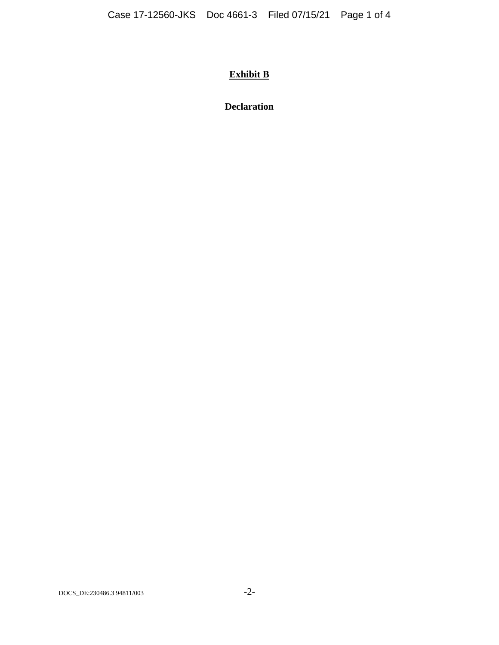# **Exhibit B**

**Declaration**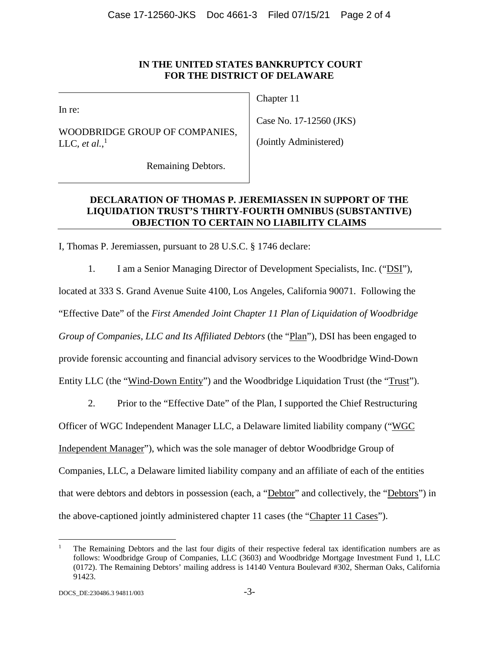In re:

WOODBRIDGE GROUP OF COMPANIES, LLC, *et al.*,<sup>1</sup>

Chapter 11

Case No. 17-12560 (JKS)

(Jointly Administered)

Remaining Debtors.

# **DECLARATION OF THOMAS P. JEREMIASSEN IN SUPPORT OF THE LIQUIDATION TRUST'S THIRTY-FOURTH OMNIBUS (SUBSTANTIVE) OBJECTION TO CERTAIN NO LIABILITY CLAIMS**

I, Thomas P. Jeremiassen, pursuant to 28 U.S.C. § 1746 declare:

1. I am a Senior Managing Director of Development Specialists, Inc. ("DSI"), located at 333 S. Grand Avenue Suite 4100, Los Angeles, California 90071. Following the "Effective Date" of the *First Amended Joint Chapter 11 Plan of Liquidation of Woodbridge Group of Companies, LLC and Its Affiliated Debtors* (the "Plan"), DSI has been engaged to provide forensic accounting and financial advisory services to the Woodbridge Wind-Down Entity LLC (the "Wind-Down Entity") and the Woodbridge Liquidation Trust (the "Trust").

2. Prior to the "Effective Date" of the Plan, I supported the Chief Restructuring

Officer of WGC Independent Manager LLC, a Delaware limited liability company ("WGC

Independent Manager"), which was the sole manager of debtor Woodbridge Group of

Companies, LLC, a Delaware limited liability company and an affiliate of each of the entities

that were debtors and debtors in possession (each, a "Debtor" and collectively, the "Debtors") in

the above-captioned jointly administered chapter 11 cases (the "Chapter 11 Cases").

<sup>1</sup> The Remaining Debtors and the last four digits of their respective federal tax identification numbers are as follows: Woodbridge Group of Companies, LLC (3603) and Woodbridge Mortgage Investment Fund 1, LLC (0172). The Remaining Debtors' mailing address is 14140 Ventura Boulevard #302, Sherman Oaks, California 91423.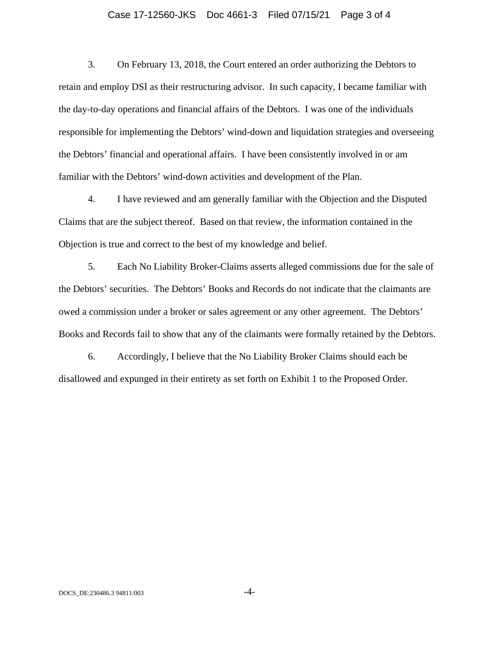### Case 17-12560-JKS Doc 4661-3 Filed 07/15/21 Page 3 of 4

3. On February 13, 2018, the Court entered an order authorizing the Debtors to retain and employ DSI as their restructuring advisor. In such capacity, I became familiar with the day-to-day operations and financial affairs of the Debtors. I was one of the individuals responsible for implementing the Debtors' wind-down and liquidation strategies and overseeing the Debtors' financial and operational affairs. I have been consistently involved in or am familiar with the Debtors' wind-down activities and development of the Plan.

4. I have reviewed and am generally familiar with the Objection and the Disputed Claims that are the subject thereof. Based on that review, the information contained in the Objection is true and correct to the best of my knowledge and belief.

5. Each No Liability Broker-Claims asserts alleged commissions due for the sale of the Debtors' securities. The Debtors' Books and Records do not indicate that the claimants are owed a commission under a broker or sales agreement or any other agreement. The Debtors' Books and Records fail to show that any of the claimants were formally retained by the Debtors.

6. Accordingly, I believe that the No Liability Broker Claims should each be disallowed and expunged in their entirety as set forth on Exhibit 1 to the Proposed Order.